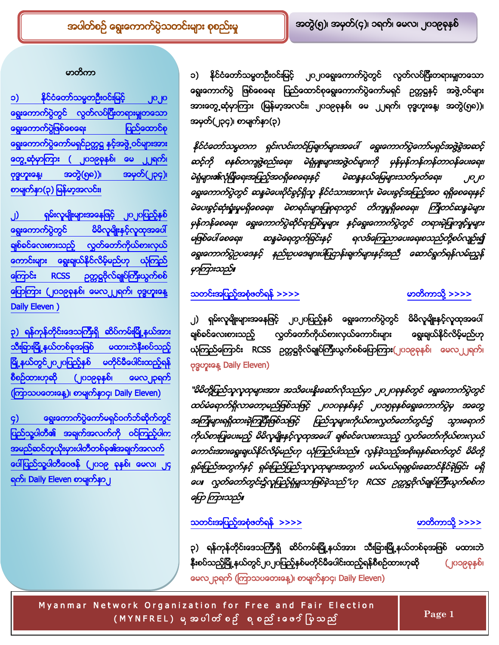### <span id="page-0-1"></span>မာတိကာ

<span id="page-0-0"></span>နိုင်ငံတော်သမ္မတဦးဝင်းမြင့် **၁)** ၂၀၂၀ <mark>ရွေးကောက်ပွဲတွင်လွတ်လပ်ပြီးတရားမှုုတသော</mark> <mark>ရွေးကောက်ပွဲဖြစ်စေရေး</mark> ပြည်ထောင်စု <mark>ရွေး</mark>ကောက်ပွဲကော်မရှင်ဥတ္တဋ္ဌ နှင့်အဖွဲ့ ဝင်များအား တွေ့ဆုံမှာကြား ( ၂၀၁၉ခုနှစ်၊ မေ ၂၂ရက်၊ <mark>ဗုဒ္ဓဟူးနေ့၊ အတွဲ(၅၈))၊ အမှတ်(၂၃၄)</mark>၊ စာမျက်နာ(၃) မြန်မာ့အလင်း၊

) <mark>ရွေး</mark>ကောက်ပွဲတွင် မိမိလူမျိုးနှင့်လူထုအပေါ် ရှစ်ခင်လေးစားသည့်လွှတ်တော်ကိုယ်စားလှယ် <mark>ကောင်းများရွေးရျယ်နိုင်လိမ့်မည်ဟု ယုံကြည</mark>် ကြောင်း [RCSS](#page-0-2) ဉက္ကဋ္ဌဗိုလ်ချုပ်ကြီးယွက်စစ် ကြောကြား (၂၀၁၉ခုနှစ်၊ မေလ၂၂ရက်၊ ဗုဒ္ဓဟူးနေ့ [Daily Eleven \)](#page-0-2)

<span id="page-0-2"></span>၃[\)](#page-0-3) ရန်ကုန်တိုင်းဒေသကြီးရှိ ဆိပ်ကမ်းမြို့နယ်အား သီး<mark>ရားမြို့နယ်တစ်ခုအဖြစ်</mark> <mark>မထားဘဲနီးစပ်သည့်</mark> မြို့နယ်တွင်၂၀၂၀ပြည့်နှစ် မတိုင်မီပေါင်းထည့်ရန် l စီစဉ်ထားဟုဆို (၂၀၁၉ခုနှစ်၊ မေလ၂၃ရက် (ကြာသပတေးနေ့)၊ စာမျက်နာ၄၊ Daily Eleven)

<span id="page-0-3"></span><mark>၄) ရွေးကောက်ပွဲကော်မရှင်ဝက်ဘ်ဆိုက်တွ</mark>င် ပြည်သူ့ပါတီ၏ အချက်အလက်ကို ဝင်ကြည့်ပါက <mark>အမည်ဆင်တူယိုးမှားပါတီတစ်ခု၏အချက်အလက်</mark> <mark>ေပါပြည်သူ့ပါတီဝေဇန် (၂၀၁၉ ခုနှစ်၊ မေလ၊ ၂၄</mark> ရက်၊ [Daily Eleven](#page-1-0) စာမျက်နာ၂

၁) နိုင်ငံတော်သမ္မတဦးဝင်းမြင့် ၂၀၂၀ရွေးကောက်ပွဲတွင် လွတ်လပ်ပြီးတရားမှျတသော ရွေးကောက်ပွဲ ဖြစ်စေရေး ပြည်ထောင်စုရွေးကောက်ပွဲကော်မရှင် ဥက္ကဋ္ဌနှင့် အဖွဲ့ဝင်များ အားတွေ့ ဆုံမှာကြား (မြန်မာ့အလင်း၊ ၂၀၁၉ခုနှစ်၊ မေ ၂၂ရက်၊ ဗုဒ္ဓဟူးနေ့၊ အတွဲ(၅၈))၊ အမှတ်(၂၃၄)၊ စာမျက်နှာ(၃)

T

နိုင်ငံတော်သမ္မတက ရှင်းလင်းတင်ပြချက်များအပေါ် ရွေးကောက်ပွဲကော်မရှင်အဖွဲ့နွဲအဆင့် ဆင့်ကို စနစ်တကျဖွဲ့စည်းရေး၊ မဲရုံမျုံးများအဖွဲ့ဝင်များကို မှန်မှန်ကန်ကန်တာဝန်ပေးရေး၊ မဲရုံများ၏လုံခြုံရေးအပြည့်အဝရှိစေရေးနှင့် မဲဆန္ဒနယ်မြေများသတ်မှတ်ရေး၊ ၂၀၂၀ G မဲပေးစွင့်ဆုံးရှုံးမှုမရှိစေရေး၊ မဲစာရင်းများပြုစုရာတွင် တိကျမှုရှိစေရေး၊ ကြိုတင်ဆန္ဒမဲများ မှန်ကန်စေရေး၊ ရွေးကောက်ပွဲဆိုင်ရာပြစ်မှုများ နှင့်ရွေးကောက်ပွဲတွင် တရားမဲ့ပြုကျင့်မှုများ ရလဒ်ကြေညာပေးရေးစသည်တို့စပ်လျဉ်း၍ မဖြစ်ပေါ် စေရေး၊ ဆန္ဒမဲရေတွက်ခြင်းနှင့် G မာကြားသည်။

## [>>>>](#page-2-0) ႔ [>>>>](#page-0-0)

၂) ရှမ်းလူမျိုးများအနေဖြင့် ၂၀၂၀ပြည့်နှစ် ရွေးကောက်ပွဲတွင် မိမိလူမျိုးနှင့်လူထုအပေါ် လွှတ်တော်ကိုယ်စားလှယ်ကောင်းများ ရစ်ခင်လေးစားသည့် ရွေးချယ်နိုင်လိမ့်မည်ဟု ယုံကြည်ကြောင်း RCSS ဥတ္တဋ္ဌဗိုလ်ချုပ်ကြီးယွက်စစ်ပြောကြား(၂၀၁၉ခုနှစ်၊ မေလ၂၂ရက်၊ ဗုဒ္ဓဟူးနေ့ Daily Eleven)

"မိမိတို့ပြည်သူလူထုများအား အသိပေးနိုးဆော်လိုသည်မှာ ၂၀၂၀ခုနှစ်တွင် ရွေးကောက်ပွဲတွင် ထပ်မံရောက်ရှိလာတော့မည်ဖြစ်သဖြင့် ၂၀၁၀ခုနှစ်နှင့် ၂၀၁၅ခုနှစ်ရွေးကောက်ပွဲမှ အတွေ့ အကြံများရရှိထားခဲ့ကြပြီးဖြစ်သဖြင့် ပြည်သူများကိုယ်စားလွှတ်တော်တွင်း၌ သွားရောက် ကိုယ်စားပြုပေးမည့် မိမိလူမျိုးနှင့်လူထုအပေါ် ရှစ်ခင်လေးစားသည့် လွှတ်တော်ကိုယ်စားလှယ် ဓကာင်းအားရွေးရယနိုင်လိမ့်မည်ဟု ယုကြည်ပါသည်။ လွန်ခဲ့သည့်အစိုးရနှစ်ဆက်တွင် မိမိတို့ ရှမ်းပြည်အတွက်နှင့် ရှမ်းပြည်ပြည်သူလူထုများအတွက် မယ်မယ်ရရစွမ်းဆောင်နိုင်ခဲ့ခြင်း မရှိ *မေ။ လွှတ်တော်တွင်း*၌လူပြည့်ရုံမှုသာဖြစ်ခဲ့သည်″ဟု RCSS ဉတ္တဋ္ဌဗိုလ်ချုပ်ကြီးယွက်စစ်က ကြော ကြားသည်။

## [>>>>](#page-3-0) ႔ [>>>>](#page-0-0)

၃) ရန်ကုန်တိုင်းဒေသကြီးရှိ ဆိပ်ကမ်းမြို့နယ်အား သီးခြားမြို့နယ်တစ်ခုအဖြစ် မထားဘဲ နိုးစပ်သည့်မြို့နယ်တွင်၂၀၂၀ပြည့်နှစ်မတိုင်မီပေါင်းထည့်ရန်စီစဉ်ထားဟုဆို (၂၀၁၉ခုနှစ်၊ မေလ၂၃ရက် (ကြာသပတေးနေ့)၊ စာမျက်နှာ၄၊ Daily Eleven)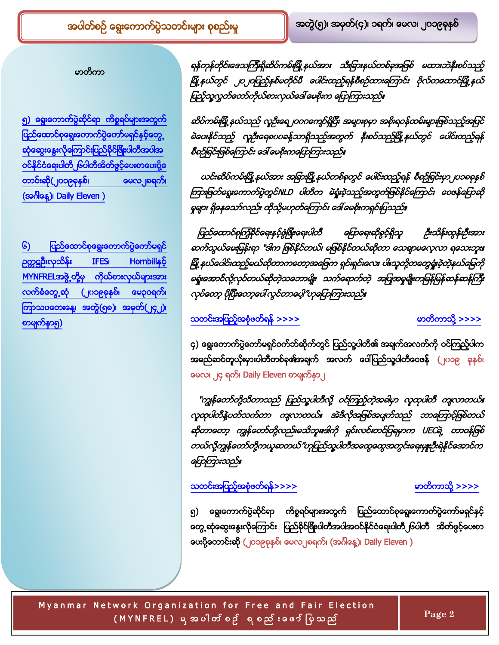### မာတိကာ

[၅](#page-1-1)) ရွေးကောက်ပွဲဆိုင်ရာ ကိ**စ္စ**ရပ်များအတွက် ပြည်ထောင်စုရွေးကောက်ပွဲကော်မရှင်နှင့်တွေ့ l သုံဆွေးနွေးလိုကြောင်းပြည်နိုင်မြိုးပါတီအပါအ ဝင်နိုင်ငံရေးပါတီ၂၆ပါတီအိတ်ဗွင့်ပေးစာပေးပို့ တာင်းဆို(၂၀၁၉ခုနှစ်၊ ဖေလ၂ရေက်၊ (အင်္ဂါနေ့)၊ Daily Eleven )

<span id="page-1-0"></span><mark>၆) ပြည်ထောင်စုရွေးကောက်ပွဲကော်မရှင်</mark> ဉတ္တဋ္ဌဦးလှသိန်း IFES၊ [Hornbill](#page-2-1)နှင့် [MYNFREL](#page-2-1)အဖွဲ့တို့မှ ကိုယ်စားလှယ်များအား လက်ခံတွေ့ဆုံ (၂၀၁၉ခုနှစ်၊ မေ၃ပရက်၊ ကြာသပတေးနေ့၊ အတွဲ(၅၈)၊ အမှတ်(၂၄၂)၊ စာမျက်နာ၅)

ရန်ကုန်တိုင်းဒေသကြီးရှိဆိပ်ကမ်းမြို့နယ်အား သီးခြားနယ်တစ်ခုအဖြစ် မထားဘဲနီးစပ်သည့် မြို့နယ်တွင် ၂၀၂၀ပြည့်နှစ်မတိုင်မီ ပေါင်းထည့်ရန်စီစဉ်ထားကြောင်း ဗိုလ်တထောင်မြို့နယ် ပြည့်သူ့လွှတ်တော်ကိုယ်စားလှယ်ဒေါ် မေစိုးက ပြောကြားသည်။

T

ဆ မဲပေးနိုင်သည့် လူဦးရေစလခန့်သာရှိသည့်အတွက် နီးစပ်သည့်မြို့နယ်တွင် ပေါင်းထည့်ရန် စီစဉ်ခြင်းဖြစ်ကြောင်း ဒေါ် မေစိုးကပြောကြားသည်။

ယင်းဆိပ်ကမ်းမြို့နယ်အား အခြားမြို့နယ်တစ်ခုတွင် ပေါင်းထည့်ရန် စီစဉ်ခြင်းမှာ၂ပ၁စခုနှစ် ကြားဖြတ်ရွေးကောက်ပွဲတွင်NLD ပါတီက မဲရှုံးစဲ့သည့်အတွက်ဖြစ်နိုင်ကြောင်း ဝေဖန်ပြောဆို မှုများ ရှိနေသော်လည်း ထိုသို့မဟုတ်ကြောင်း ဒေါ် မေစိုးကရှင်းပြသည်။

ပြည်ထောင်စုကြံ့ခိုင်ရေးနှင့်ဇွံဖြိုးရေးပါတီ ကြောရေးဆိုခွင့်ရှိသူ ဦးသိန်းထွန်းဦးအား ဆက်သွယ်မေးမြန်းရာ "ဒါက ဖြစ်နိုင်တယ်၊ မဖြစ်နိုင်တယ်ဆိုတာ သေရာမလေ့လာ ရသေးဘူး။ မြို့နယ်ပေါင်းထည့်မယ်ဆိုတာကတော့အဖြေက ရှင်းရှင်းလေး ပါ။သူတို့တတွေရှုံးခဲ့တဲ့နယ်မြေကို မရှုံးအောင်လို့လုပ်တယ်ဆိုတဲ့သဘောမျိုး သက်ရောက်တဲ့ အပြုအမှုမျိုးကမြန်မြန်ဆန်ဆန်ကြီး လုပ်တော့ ပိုပြီးတော့ပေါ် လွင်တာပေ့ါ"ဟုမြောကြားသည်။

### [>>>>](#page-5-0) ႔ [>>>>](#page-0-0)

၄) ရွေးကောက်ပွဲကော်မရှင်ဝက်ဘ်ဆိုက်တွင် ပြည်သူ့ပါတီ၏ အချက်အလက်ကို ဝင်ကြည့်ပါက အမည်ဆင်တူယိုးမှားပါတီတစ်ခု၏အချက် အလက် ပေါ်ပြည်သူ့ပါတီဝေဖန် (၂၀၁၉ ခုနှစ်၊ မေလ၊ ၂၄ ရက်၊ Daily Eleven စာမျက်နှာ၂

"ကျွန်တော်တို့သိတာသည် ပြည်သူ့ပါတီလို့ ဝင်ကြည့်တဲ့အခါမှာ လူထုပါတီ ကျလာတယ်။ လူထုပါတီနဲ့ပတ်သက်တာ ကျလာတယ်။ အဲဒီလိုအဖြစ်အပျက်သည် ဘာကြောင့်ဖြစ်တယ် ဆိုတာတော့ ကျွန်တော်တို့လည်းမသိဘူး။ဒါကို ရှင်းလင်းတင်ပြရမှာက UECရဲ့ တာဝန်ဖြစ် တယ်လို့ကျွန်တော်တို့ကယူဆတယ်"ဟုပြည်သူ့ပါတီအထွေထွေအတွင်းရေးမျူးဦးရဲနိုင်အောင်က ကြောကြားသည်။

## <span id="page-1-1"></span>သတင်းအပြည့်အစုံဖတ်ရန်[>>>>](#page-6-0) ကားကားကားကားကားကားကို သားသား

၅) ရွေးကောက်ပွဲဆိုင်ရာ ကိစ္စရပ်များအတွက် ပြည်ထောင်စုရွေးကောက်ပွဲကော်မရှင်နှင့် <mark>တွေ့ သုံဆွေးနွေးလိုကြောင်း ပြည်နိင်ဖြိုးပါတီအပါအဝင်နိုင်ငံရေးပါတီ၂၆ပါတီ အိတ်ဇွင့်ပေးစာ</mark> <mark>ေးပို့တောင်းဆို (၂</mark>၀၁၉ခုနှစ်၊ မေလ၂ရေက်၊ (အင်္ဂါနေ့)၊ Daily Eleven )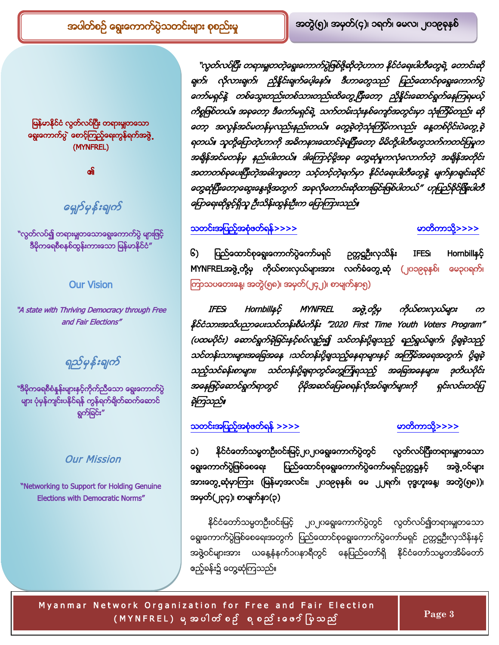မြန်မာနိုင်ငံ လွတ်လပ်ပြီး တရားမှူတသော ရွေးကောက်ပွဲ စောင့်ကြည့်ရေးကွန်ရက်အဖွဲ့ (MYNFREL)

၏

# <span id="page-2-1"></span>G

<mark>"လွတ်လပ်၍ တရားမှုုတသောရွေး</mark>ကောက်ပွဲ မ<mark>ျားဖြင</mark>့် ဒီမိုကရေစီစနစ်ထွန်းကားသော မြန်မာနိုင်ငံ"

### Our Vision

"A state with Thriving Democracy through Free and Fair Elections"

ရည်မှန်းချက်

<sup>း</sup>ဒီမိုကရေစီစံနှန်းများနှင့်ကိုက်ညီသော ရွေးကောက်ပွဲ များ ပုံမှန်ကျင်းပနိုင်ရန် ကွန်ရက်ရှိတ်ဆက်ဆောင် ရွက်ခြင်း"

### <span id="page-2-0"></span>Our Mission

"Networking to Support for Holding Genuine Elections with Democratic Norms"

" လွတ်လပ်ပြီး တရားမှုုတတဲ့ရွေးကောက်ပွဲဖြစ်ဖို့ဆိုတဲ့ဟာက နိုင်ငံရေးပါတီတွေရဲ့ တောင်းဆို ရက်၊ လိုလားရက်၊ ညှိနှိုင်းရက်ပေ့ါနော်။ ဒီဟာတွေသည် ပြည်ထောင်စုရွေးကောက်ပွဲ ကော်မရှင်နဲ့ တစ်သွေးတည်းတစ်သားတည်းထိတွေ့ပြီးတော့ ညှိနှိုင်းဆောင်ရွက်နေကြရမယ့် ကိစ္စဖြစ်တယ်။ အခုတော့ ဒီကော်မရှင်ရဲ့ သက်တမ်းသုံးနစ်ကျော်အတွင်းမှာ သုံးကြိမ်တည်း ဆို တော့ အလွန်အင်မတန်မှလည်းနည်းတယ်။ တွေ့ခဲ့တဲ့သုံးကြိမ်ကလည်း နေ့တစ်ပိုင်းပဲတွေ့ခဲ့ ရတယ်။ သူတို့ပြောတဲ့ဟာကို အဓိကနားထောင်ခဲ့ရပြီးတော့ မိမိတို့ပါတီတွေဘက်ကတင်ပြမှုက အချိနအငမတနမ္ နည္းပါးတယ္။ ဒါေတာင္ဝို့အခု တွေဆု အတာတစ်ခုပေးပြီးတဲ့အခါကျတော့ သင့်တင့်တဲ့ရက်မှာ နိုင်ငံရေးပါတီတွေနဲ့ မျက်နှာရျင်းဆိုင် ၀ော့ဆုံပြီးတော့ဆွေးနွေးဖို့အတွက် အခုလိုတောင်းဆိုထားခြင်းဖြစ်ပါတယ်" ဟုပြည်ခိုင်ဖြိုးပါတီ ကြောရေးဆိုခွင့်ရှိသူ ဦးသိန်းတွန်းဦးက ပြောကြားသည်။

T

## [>>>>](#page-8-0) ႔[>>>>](#page-0-0)

၆) ပြည်ထောင်စုရွေးကောက်ပွဲကော်မရှင် ဥတ္တဋ္ဌဦးလှသိန်း IFES၊ Hornbillနှင့် MYNFRELအဖွဲ့တို့မှ ကိုယ်စားလှယ်များအား လက်ခံတွေ့ဆုံ (၂၀၁၉ခုနှစ်၊ မေ၃၀ရက်၊ ကြာသပတေးနေ့၊ အတွဲ(၅၈)၊ အမှတ်(၂၄၂)၊ စာမျက်နာ၅)

IFES၊ Hornbillနှင့် MYNFREL အဖွဲ့တို့မှ  $\infty$ နိုင်ငံသားအသိပညာပေးသင်တန်းစီမံကိန်း "2020 First Time Youth Voters Program" (ပထမဝိုင်း) ဆောင်ရွက်ခဲ့ခြင်းနှင့်စပ်လျဉ်း၍ သင်တန်းပို့ချသည့် ရည်ရွယ်ချက်၊ ပို့ချခဲ့သည့် သင်တန်းသားများအခြေအနေ ၊သင်တန်းပို့ရျသည့်နေရာများနှင့် အကြိမ်အရေအတွက်၊ ပို့ရျခဲ့ သည့်သင်ခန်းစာများ၊ သင်တန်းပို့ချရာတွင်တွေကြုံရသည့် အခြေအနေများ၊ အနေဖြင့်ဆောင်ရွက်ရာတွင် ပိုမိုအဆင်မြေစေရန်လိုအပ်ချက်များကို ရှင်းလင်းတင်ပြ ရဲကြသည်။

# [>>>>](#page-9-0) ႔[>>>>](#page-0-0)

၁) နိုင်ငံတော်သမ္မတဦးဝင်းမြင့်၂ဂ၂ဂရွေးကောက်ပွဲတွင် လွတ်လပ်ပြီးတရားမှုုတသော <mark>ရွေး</mark>ကောက်ပွဲဖြစ်စေရေး ပြည်ထောင်စုရွေးကောက်ပွဲကော်မရှင်ဥတ္တဋ္ဌနှင့် အဖွဲ့ဝင်များ အားတွေ့ ဆုံမှာကြား (မြန်မာ့အလင်း၊ ၂၀၁၉ခုနှစ်၊ မေ ၂၂ရက်၊ ဗုဒ္ဓဟူးနေ့၊ အတွဲ(၅၈))၊ အမှတ်(၂၃၄)၊ စာမျက်နာ(၃)

နိုင်ငံတော်သမ္မတဦးဝင်းမြင့် ၂ဂ၂ဂရွေးကောက်ပွဲတွင် လွတ်လပ်၍တရားမှုုတသော ရွေးကောက်ပွဲဖြစ်စေရေးအတွက် ပြည်ထောင်စုရွေးကောက်ပွဲကော်မရှင် ဉက္ကဋ္ဌဦးလှသိန်းနှင့် အဖွဲဝင်များအား ယနေ့နံနက်၁ပနာရီတွင် နေပြည်တော်ရှိ နိုင်ငံတော်သမ္မတအိမ်တော် ဧည့်ခန်း၌ တွေ့ဆုံကြသည်။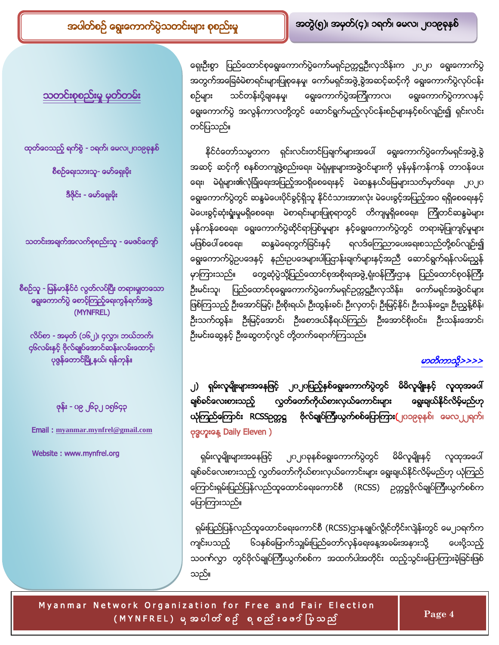<u>သတင်းစုစည်းမှု မှတ်တမ်း</u>

ထုတ်ဝေသည့် ရက်စွဲ - ၁ရက်၊ မေလ၊၂ပ၁၉ရနှစ်

စီစဉ်ရေးသားသူ- မော်ရှေးမိုး

ဒီဇိုင်း - မော်ရှေးမိုး

သတင်းအရျက်အလက်စုစည်းသူ - မေဇင်ကျော်

စီစဉ်သူ - မြန်မာနိုင်ငံ လွတ်လပ်ပြီး တရားမှုုတသော <mark>ရွေး</mark>ကောက်ပွဲ စောင့်ကြည့်ရေးကွန်ရက်အဖွဲ့ (MYNFREL)

လိပ်စာ - အမှတ် (၁၆၂)၊ ၄လွှာ၊ ဘယ်ဘက်၊ ၄၆လမ်းနှင့် ဗိုလ်ချုပ်အောင်ဆန်းလမ်းထောင့်၊ ပုဇွန်တောင်မြို့နယ်၊ ရန်ကုန်။

<span id="page-3-0"></span>ဖုန်း - ၀၉ ၂၆၃၂ ၁၅၆၄၃

Email : **[myanmar.mynfrel@gmail.com](mailto:Myanmar.mynfrel@gmail.com)**

Website : www.mynfrel.org

ရေးဦးစွာ ပြည်ထောင်စုရွေးကောက်ပွဲကော်မရှင်ဥက္ကဋ္ဌဦးလှသိန်းက ၂ပ၂ပ ရွေးကောက်ပွဲ အတွက်အခြေခံမဲစာရင်းများပြုစုနေမှု၊ ကော်မရှင်အဖွဲ့့ စွဲအဆင့်ဆင့်ကို ရွေးကောက်ပွဲလုပ်ငန်း စဉ်များ သင်တန်းပို့ချနေမှု၊ ရွေးကောက်ပွဲအကြိုကာလ၊ ရွေးကောက်ပွဲကာလနှင့် ရွေးကောက်ပွဲ အလွန်ကာလတို့တွင် ဆောင်ရွက်မည့်လုပ်ငန်းစဉ်များနှင့်စပ်လျဉ်း၍ ရှင်းလင်း တင်ပြသည်။

T

နိုင်ငံတော်သမ္မတက ရှင်းလင်းတင်ပြချက်များအပေါ် ရွေးကောက်ပွဲကော်မရှင်အဖွဲ့့ခွဲ အဆင့် ဆင့်ကို စနစ်တကျဖွဲ့စည်းရေး၊ မဲရုံမှူးများအဖွဲ့ဝင်များကို မှန်မှန်ကန်ကန် တာဝန်ပေး ရေး၊ မဲရုံများ၏လုံခြုံရေးအပြည့်အဝရှိစေရေးနှင့် မဲဆန္ဒနယ်မြေများသတ်မှတ်ရေး၊ ၂၀၂၀ ရွေးကောက်ပွဲတွင် ဆန္ဒမဲပေးပိုင်ခွင့်ရှိသူ နိုင်ငံသားအားလုံး မဲပေးခွင့်အပြည့်အဝ ရရှိစေရေးနှင့် မဲပေးခွင့်ဆုံးရှုံးမှုမရှိစေရေး၊ မဲစာရင်းများပြုစုရာတွင် တိကျမှုရှိစေရေး၊ ကြိုတင်ဆန္ဒမဲများ မှန်ကန်စေရေး၊ ရွေးကောက်ပွဲဆိုင်ရာပြစ်မှုများ နှင့်ရွေးကောက်ပွဲတွင် တရားမဲ့ပြုကျင့်မှုများ မဖြစ်ပေါ် စေရေး၊ ဆန္ဒမဲရေတွက်ခြင်းနှင့် ရလဒ်ကြေညာပေးရေးစသည်တို့စပ်လျဉ်း၍ ရွေးကောက်ပွဲဥပဒေနှင့် နည်းဥပဒေများပါပြဌာန်းချက်များနှင့်အညီ ဆောင်ရွက်ရန်လမ်းညွှန် မှာကြားသည်။ တွေ့ဆုံပွဲသို့ပြည်ထောင်စုအစိုးရအဖွဲ့ ရုံးဝန်ကြီးဌာန ပြည်ထောင်စုဝန်ကြီး ဉီးမင်းသူ၊ ပြည်ထောင်စုရွေးကောက်ပွဲကော်မရှင်ဉက္ကဋ္ဌဦးလှသိန်း၊ ကော်မရှင်အဖွဲ့ဝင်များ ဖြစ်ကြသည့် ဦးအောင်မြင့်၊ ဦးစိုးရယ်၊ ဦးထွန်းခင်၊ ဦးလှတင့်၊ ဦးမြင့်နိုင်၊ ဦးသန်းဋ္ဌေး၊ ဦးညွှန့်စိန်၊ ဦးသက်ထွန်း၊ ဦးမြင့်အောင်၊ ဦးစောဒယ်နီရယ်ကြည်၊ ဦးအောင်စိုးဝင်း၊ ဦးသန်းအောင်၊ ဦးမင်းဆွေနှင့် ဦးဆွေတင့်လွင် တို့တက်ရောက်ကြသည်။

## မာတိကာသို့>>>>

၂) ရှမ်းလူမျိုးများအနေဖြင့် ၂၀၂၀ပြည့်နှစ်ရွေးကောက်ပွဲတွင် မိမိလူမျိုးနှင့် လူထုအပေါ် လွှတ်တော်ကိုယ်စားလှယ်ကောင်းများ ရွေးချယ်နိုင်လိမ့်မည်ဟု ချစ်ခင်လေးစားသည့် ယုံကြည်ကြောင်း RCSSဉတ္တဋ္ဌ ဗိုလ်ချုပ်ကြီးယွက်စစ်ပြောကြား(၂၀၁၉ခုနှစ်၊ မေလ၂၂ရက်၊ ဗုဒ္ဓဟူးနေ့ Daily Eleven )

ရှမ်းလူမျိုးများအနေဖြင့် ၂၀၂၀ခုနှစ်ရွေးကောက်ပွဲတွင် မိမိလူမျိုးနှင့် လူထုအပေါ် ချစ်ခင်လေးစားသည့် လွှတ်တော်ကိုယ်စားလှယ်ကောင်းများ ရွေးချယ်နိုင်လိမ့်မည်ဟု ယုံကြည် ကြောင်းရှမ်းပြည်ပြန်လည်ထူထောင်ရေးကောင်စီ (RCSS) ဉက္ကဋ္ဌဗိုလ်ချုပ်ကြီးယွက်စစ်က ကြောကြားသည်။

ရှမ်းပြည်ပြန်လည်ထူထောင်ရေးကောင်စီ (RCSS)ဌာနချုပ်လွိုင်တိုင်းလျဲန်းတွင် မေ၂၁ရက်က ကျင်းပသည့် ၆၁နစ်မြောက်သျှမ်းပြည်တော်လှန်ရေးနေ့အခမ်းအနားသို့ ပေးပို့သည့် သဝင်္ကလွှာ တွင်ဗိုလ်ချုပ်ကြီးယွက်စစ်က အထက်ပါအတိုင်း ထည့်သွင်းပြောကြားခဲ့ခြင်းဖြစ် သည်။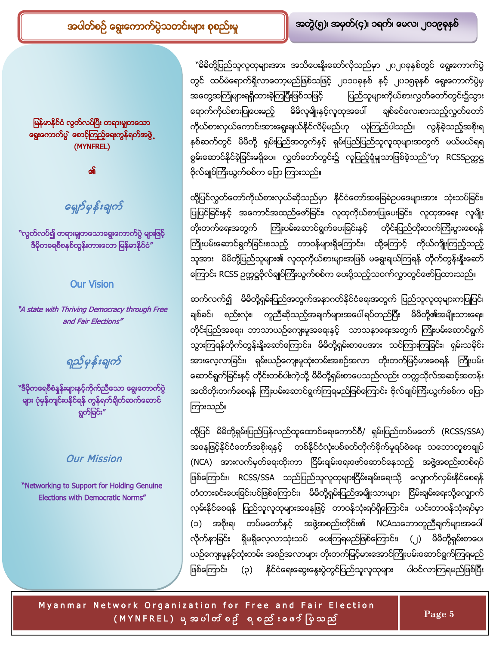မြန်မာနိုင်ငံ လွတ်လပ်ပြီး တရားမှုုတသော I **ျေး**ကောက်ပွဲ တေ**့်ကြည့်ရေးကွန်ရက်အဖွဲ**့ (MYNFREL)

၏

G

"လွတ်လပ်<mark>၍ တရားမျှတသောရွေး</mark>ကောက်ပွဲ မ<mark>ျားဖြင</mark>့် ဒီမိုကရေစီစနစ်ထွန်းကားသော မြန်မာနိုင်ငံ"

### Our Vision

"A state with Thriving Democracy through Free and Fair Elections"

ရည်မှန်းချက်

<mark>"ဒီမိုကရေစီစံနန်းများနှင့်ကိုက်ညီသော ရွေးကောက်ပွဲ</mark> များ ပုံမှန်ကျင်းပနိုင်ရန် ကွန်ရက်ရှိတ်ဆက်ဆောင် ရွက်ခြင်း"

### Our Mission

"Networking to Support for Holding Genuine Elections with Democratic Norms"

``မိမိတို့ပြည်သူလူထုများအား အသိပေးနိုးဆော်လိုသည်မှာ ၂၀၂၀ခုနှစ်တွင် ရွေးကောက်ပွဲ တွင် ထပ်မံရောက်ရှိလာတော့မည်ဖြစ်သဖြင့် ၂၀၁၀ခုနှစ် နှင့် ၂၀၁၅ခုနှစ် ရွေးကောက်ပွဲမှ အတွေအကြုံများရရှိထားခဲ့ကြပြီးဖြစ်သဖြင့် ပြည်သူများကိုယ်စားလွှတ်တော်တွင်း၌သွား ရောက်ကိုယ်စားပြုပေးမည့် မိမိလူမျိုးနင့်လူထုအပေါ် ချစ်ခင်လေးစားသည့်လွှတ်တော် ကိုယ်စားလှယ်ကောင်းအားရွေးချယ်နိုင်လိမ့်မည်ဟု ယုံကြည်ပါသည်။ လွန်ခဲ့သည့်အစိုးရ နှစ်ဆက်တွင် မိမိတို့ ရှမ်းပြည်အတွက်နှင့် ရှမ်းပြည်ပြည်သူလူထုများအတွက် မယ်မယ်ရရ စွမ်းဆောင်နိုင်ခဲ့ခြင်းမရှိပေ။ လွှတ်တော်တွင်း၌ လူပြည့်ရုံမျှသာဖြစ်ခဲ့သည်″ဟု RCSSဉတ္တဋ္ဌ ဗိုလ်ချုပ်ကြီးယွက်စစ်က ပြော ကြားသည်။

T

ထို့ပြင်လွှတ်တော်ကိုယ်စားလှယ်ဆိုသည်မှာ နိုင်ငံတော်အခြေခံဥပဒေများအား သုံးသပ်ခြင်း၊ ပြုပြင်ခြင်းနှင့် အကောင်အထည်ဖော်ခြင်း၊ လူထုကိုယ်စားပြုပေးခြင်း၊ လူထုအရေး လူမျိုး တိုးတက်ရေးအတွက် ကြိုးပမ်းဆောင်ရွက်ပေးခြင်းနှင့် တိုင်းပြည်တိုးတက်ကြီးပွားစေရန် ကြိုးပမ်းဆောင်ရွက်ခြင်းစသည့် တာဝန်များရှိကြောင်း၊ ထို့ကြောင့် ကိုယ်ကျိုးကြည့်သည့် သူအား မိမိတို့ပြည်သူများ၏ လူထုကိုယ်စားများအဖြစ် မရွေးချယ်ကြရန် တိုက်တွန်းနိုးဆော် ကြောင်း RCSS ဥက္ကဋ္ဌဗိုလ်ချုပ်ကြီးယွက်စစ်က ပေးပို့သည့်သဝက်လွှာတွင်ဖော်ပြထားသည်။

ဆက်လက်၍ မိမိတို့ရှမ်းပြည်အတွက်အနာဂတ်နိုင်ငံရေးအတွက် ပြည်သူလူထုများကပြုပြင်၊ ချစ်ခင်၊ စည်းလုံး၊ ကူညီဆိုသည့်အချက်များအပေါ်ရပ်တည်ပြီး မိမိတို့၏အမျိုးသားရေး၊ တိုင်းပြည်အရေး၊ ဘာသာယဉ်ကျေးမှုအရေးနှင့် သာသနာရေးအတွက် ကြိုးပမ်းဆောင်ရွက် သွားကြရန်တိုက်တွန်းနိုးဆော်ကြောင်း၊ မိမိတို့ရှမ်းစာပေအား သင်ကြားကြခြင်း၊ ရှမ်းသမိုင်း အားလေ့လာခြင်း၊ ရှမ်းယဉ်ကျေးမှုထုံးတမ်းအစဉ်အလာ တိုးတက်မြင့်မားစေရန် ကြိုးပမ်း ဆောင်ရွက်ခြင်းနှင့် တိုင်းတစ်ပါးကဲ့သို့ မိမိတို့ရှမ်းစာပေသည်လည်း တတ္တသိုလ်အဆင့်အတန်း အထိတိုးတက်စေရန် ကြိုးပမ်းဆောင်ရွက်ကြရမည်ဖြစ်ကြောင်း ဗိုလ်ချုပ်ကြီးယွက်စစ်က ပြော ကြားသည်။

ထို့ပြင် မိမိတို့ရှမ်းပြည်ပြန်လည်ထူထောင်ရေးကောင်စီ/ ရှမ်းပြည်တပ်မတော် (RCSS/SSA) အနေဖြင့်နိုင်ငံတော်အစိုးရနှင့် တစ်နိုင်ငံလုံးပစ်ခတ်တိုက်ခိုက်မှုရပ်စဲရေး သဘောတူစာချုပ် (NCA) အားလက်မှတ်ရေးထိုးကာ ငြိမ်းချမ်းရေးဖော်ဆောင်နေသည့် အဖွဲ့အစည်းတစ်ရပ် ဖြစ်ကြောင်း၊ RCSS/SSA သည်ပြည်သူလူထုများငြိမ်းချမ်းရေးသို့ လျှောက်လှမ်းနိုင်စေရန် တံတားခင်းပေးခြင်းပင်ဖြစ်ကြောင်း၊ မိမိတို့ရှမ်းပြည်အမျိုးသားများ ငြိမ်းချမ်းရေးသို့လျှောက် လှမ်းနိုင်စေရန် ပြည်သူလူထုများအနေဖြင့် တာဝန်သုံးရပ်ရှိကြောင်း၊ ယင်းတာဝန်သုံးရပ်မှာ (၁) အစိုးရ၊ တပ်မတော်နှင့် အဖွဲ့အစည်းတိုင်း၏ NCAသဘောတူညီချက်များအပေါ် လိုက်နာခြင်း ရှိမရှိလေ့လာသုံးသပ် ပေးကြရမည်ဖြစ်ကြောင်း၊ (၂) မိမိတို့ရှမ်းစာပေ၊ ယဉ်ကျေးမှုနှင့်ထုံးတမ်း အစဉ်အလာများ တိုးတက်မြင့်မားအောင်ကြိုးပမ်းဆောင်ရွက်ကြရမည် ဖြစ်ကြောင်း (၃) နိုင်ငံရေးဆွေးနွေးပွဲတွင်ပြည်သူလူထုများ ပါဝင်လာကြရမည်ဖြစ်ပြီး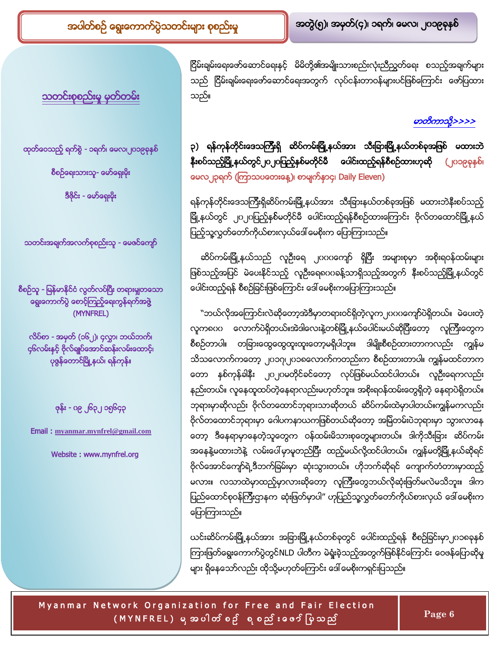<u>သတင်းစုစည်းမှု မှတ်တမ်း</u>

<span id="page-5-0"></span>ထုတ်ဝေသည့် ရက်စွဲ - ၁ရက်၊ မေလ၊၂၀၁၉ခုနှစ်

စီစဉ်ရေးသားသူ- မော်ရှေးမိုး

ဒီဇိုင်း - မော်ရှေးမိုး

သတင်းအချက်အလက်စုစည်းသူ - မေဇင်ကျော်

စီစဉ်သူ - မြန်မာနိုင်ငံ လွတ်လပ်ပြီး တရားမှုုတသော ရွေးကောက်ပွဲ စောင့်ကြည့်ရေးကွန်ရက်အဖွဲ့ (MYNFREL)

လိပ်စာ - <mark>အမှတ် (၁၆၂)၊</mark> ၄လွှာ၊ ဘယ်ဘက်၊ ၄၆လမ်းနှင့် ဗိုလ်ချုပ်အောင်ဆန်းလမ်းထောင့်၊ ပုဇွန်တောင်မြို့နယ်၊ ရန်ကုန်။

ဖုန်း - ၀၉ ၂၆၃၂ ၁၅၆၄၃

Email : **[myanmar.mynfrel@gmail.com](mailto:Myanmar.mynfrel@gmail.com)**

Website : www.mynfrel.org

ငြိမ်းချမ်းရေးဖော်ဆောင်ရေးနှင့် မိမိတို့၏အမျိုးသားစည်းလုံးညီညွှတ်ရေး စသည့်အချက်များ သည် ငြိမ်းချမ်းရေးဖော်ဆောင်ရေးအတွက် လုပ်ငန်းတာဝန်များပင်ဖြစ်ကြောင်း ဖော်ပြထား သည်။

T

မာတိကာသို့>>>>

# ၃) ရန်ကုန်တိုင်းဒေသကြီးရှိ ဆိပ်ကမ်းမြို့နယ်အား သီးခြားမြို့နယ်တစ်ခုအဖြစ် မထားဘဲ နိုးစပ်သည့်မြို့နယ်တွင်၂၀၂၀ပြည့်နှစ်မတိုင်မီ ပေါင်းထည့်ရန်စီစဉ်ထားဟုဆို (၂၀၁၉ခုနှစ်၊ မေလ၂၃ရက် (ကြာသပတေးနေ့)၊ စာမျက်နှာ၄၊ Daily Eleven)

ရန်ကုန်တိုင်းဒေသကြီးရှိဆိပ်ကမ်းမြို့နယ်အား သီးခြားနယ်တစ်ခုအဖြစ် မထားဘဲနီးစပ်သည့် မြို့နယ်တွင် ၂ဂ၂ဂပြည့်နှစ်မတိုင်မီ ပေါင်းထည့်ရန်စီစဉ်ထားကြောင်း ဗိုလ်တထောင်မြို့နယ် l ပြည့်သူ့လွှတ်တော်ကိုယ်စားလှယ်ဒေါ် မေစိုးက ပြောကြားသည်။

ဆိပ်ကမ်းမြို့နယ်သည် လူဦးရေ ၂၀၀၀ကျော် ရှိပြီး အများစုမှာ အစိုးရဝန်ထမ်းများ ဖြစ်သည့်အပြင် မဲပေးနိုင်သည့် လူဦးရေရပဂခန့်သာရှိသည့်အတွက် နီးစပ်သည့်မြို့နယ်တွင် ပေါင်းထည့်ရန် စီစဉ်ခြင်းဖြစ်ကြောင်း ဒေါ် မေစိုးကပြောကြားသည်။

ဲကလုံအကြောင်းလဲဆိုတော့အဲဒီမှာတရားဝင်ရှိတဲ့လူက၂ဂဂဂကျော်ပဲရှိတယ်။ မဲပေးတဲ့ လူက၈ပပ လောက်ပဲရှိတယ်။အဲဒါလေးနဲ့တစ်မြို့နယ်ပေါင်းမယ်ဆိုပြီးတော့ လူကြီးတွေက စီစဉ်တာပါ။ တခြားထွေထွေထူးထူးတော့မရှိပါဘူး။ ဒါမျိုးစီစဉ်ထားတာကလည်း ကျွန်မ သိသလောက်ကတော့ ၂၀၁၇၊၂၀၁၈လောက်ကတည်းက စီစဉ်ထားတာပါ။ ကျွန်မထင်တာက တော နှစ်ကုန်ခါနီး ၂၀၂၀မတိုင်ခင်တော့ လုပ်ဖြစ်မယ်ထင်ပါတယ်။ လူဦးရေကလည်း နည်းတယ်။ လူနေထူထပ်တဲ့နေရာလည်းမဟုတ်ဘူး။ အစိုးရဝန်ထမ်းတွေရှိတဲ့ နေရာပဲရှိတယ်။ ဘုရားမှာဆိုလည်း ဗိုလ်တထောင်ဘုရားသာဆိုတယ် ဆိပ်ကမ်းထဲမှာပါတယ်။ကျွန်မကလည်း ဗိုလ်တထောင်ဘုရားမှာ ဂေါပကနာယကဖြစ်တယ်ဆိုတော့ အမြဲတမ်းပဲဘုရားမှာ သွားလာနေ တော့ ဒီနေရာမှာနေတဲ့သူတွေက ဝန်ထမ်းမိသားစုတွေများတယ်။ ဒါကိုသီးခြား ဆိပ်ကမ်း အနေနဲ့မထားဘဲနဲ့ လမ်းပေါ်မှာမူတည်ပြီး ထည့်မယ်လို့ထင်ပါတယ်။ ကျွန်မတို့မြို့နယ်ဆိုရင် ဗိုလ်အောင်ကျော်ရဲ့ဒီဘက်ခြမ်းမှာ ဆုံးသွားတယ်။ ဟိုဘက်ဆိုရင် ကျောက်တံတားမှာထည့် မလား။ လသာထဲမှာထည့်မှာလားဆိုတော့ လူကြီးတွေဘယ်လိုဆုံးဖြတ်မလဲမသိဘူး။ ဒါက ပြည်ထောင်စုဝန်ကြီးဌာနက ဆုံးဖြတ်မှာပါ" ဟုပြည်သူ့လွှတ်တော်ကိုယ်စားလှယ် ဒေါ် မေစိုးက ပြောကြားသည်။

ယင်းဆိပ်ကမ်းမြို့နယ်အား အခြားမြို့နယ်တစ်ခုတွင် ပေါင်းထည့်ရန် စီစဉ်ခြင်းမှာ၂ဂ၁ရေနစ် ကြားဖြတ်ရွေးကောက်ပွဲတွင်NLD ပါတီက မဲရှုံးခဲ့သည့်အတွက်ဖြစ်နိုင်ကြောင်း ဝေဖန်ပြောဆိုမှု များ ရှိနေသော်လည်း ထိုသို့မဟုတ်ကြောင်း ဒေါ် မေစိုးကရှင်းပြသည်။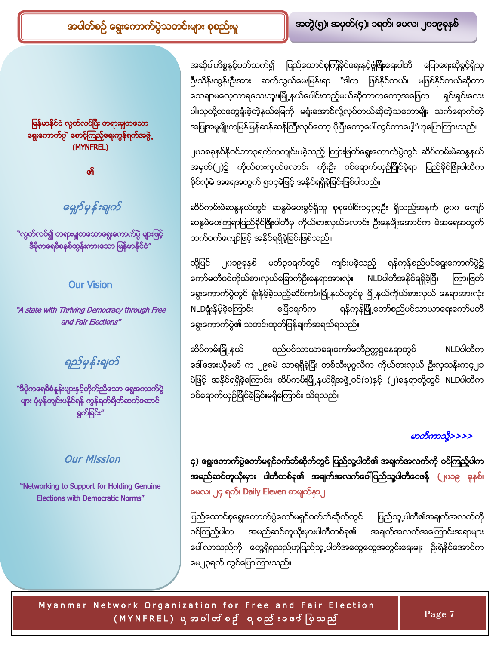အဆိုပါကိစ္စနှင့်ပတ်သက်၍ ပြည်ထောင်စုကြံ့ခိုင်ရေးနှင့်ဖွံဖြိုးရေးပါတီ ပြောရေးဆိုခွင့်ရှိသူ ဦးသိန်းထွန်းဦးအား ဆက်သွယ်မေးမြန်းရာ ``ဒါက ဖြစ်နိုင်တယ်၊ မဖြစ်နိုင်တယ်ဆိုတာ သေချာမလေ့လာရသေးဘူး။မြို့နယ်ပေါင်းထည့်မယ်ဆိုတာကတော့အဖြေက ရှင်းရှင်းလေး ပါ။သူတို့တတွေရှုံးခဲ့တဲ့နယ်မြေကို မရှုံးအော**င်**လို့လုပ်တယ်ဆိုတဲ့သဘောမျိုး သက်ရောက်တဲ့ အပြုအမှုမျိုးကမြန်မြန်ဆန်ဆန်ကြီးလုပ်တော့ ပိုပြီးတော့ပေါ် လွင်တာပေ့ါ″ဟုပြောကြားသည်။

T

၂၀၁၈ခုနှစ်နိုဝင်ဘာ၃ရက်ကကျင်းပခဲ့သည့် ကြားဖြတ်ရွေးကောက်ပွဲတွင် ဆိပ်ကမ်းမဲဆန္ဒနယ် အမှတ်(၂)၌ ကိုယ်စားလှယ်လောင်း ကိုးဦး ပင်ရောက်ယှဉ်ပြိုင်ခဲ့ရာ ပြည်ခိုင်ဖြိုးပါတီက နိုင်လုံမဲ အရေအတွက် ၅၁၄မဲဖြင့် အနိုင်ရရှိခဲ့ခြင်းဖြစ်ပါသည်။

ဆိပ်ကမ်းမဲဆန္ဒနယ်တွင် ဆန္ဒမဲပေးခွင့်ရှိသူ စုစုပေါင်း၁၄၃၄ဦး ရှိသည့်အနက် ၉ပပ ကျော် ဆန္ဒမဲပေးကြရာပြည်ခိုင်ဖြိုးပါတီမှ ကိုယ်စားလှယ်လောင်း ဦးနေမျိုးအောင်က မဲအရေအတွက် ထက်ဝက်ကျော်ဖြင့် အနိုင်ရရှိခဲ့ခြင်းဖြစ်သည်။

ထို့ပြင် ၂၀၁၉ခုနှစ် မတ်၃၁ရက်တွင် ကျင်းပခဲ့သည့် ရန်ကုန်စည်ပင်ရွေးကောက်ပွဲ၌ ကော်မတီဝင်ကိုယ်စားလှယ်ခြောက်ဦးနေရာအားလုံး NLDပါတီအနိုင်ရရှိခဲ့ပြီး ကြားဖြတ် ရွေးကောက်ပွဲတွင် ရှုံးနိမ့်ခဲ့သည့်ဆိပ်ကမ်းမြို့နယ်တွင်မူ မြို့နယ်ကိုယ်စားလှယ် နေရာအားလုံး ဧပြီ၁ရက်က ရန်ကုန်မြို့တော်စည်ပင်သာယာရေးကော်မတီ NLDရှုံးနိမ့်ခဲ့ကြောင်း ရွေးကောက်ပွဲ၏ သတင်းထုတ်ပြန်ချက်အရသိရသည်။

ဆိပ်ကမ်းမြို့နယ် စည်ပင်သာယာရေးကော်မတီဥက္ကဋ္ဌနေရာတွင် NLDပါတီက ဒေါ်အေးယိုမော် က ၂၉၈မဲ သာရရှိခဲ့ပြီး တစ်သီးပုဂ္ဂလိက ကိုယ်စားလှယ် ဦးလှသန်းက၄၂၁ မဲဖြင့် အနိုင်ရရှိခဲ့ကြောင်း၊ ဆိပ်ကမ်းမြို့နယ်ရှိအဖွဲ့ဝင်(၁)နှင့် (၂)နေရာတို့တွင် NLDပါတီက ဝင်ရောက်ယှဉ်ပြိုင်ခဲ့ခြင်းမရှိကြောင်း သိရသည်။

## မာတိကာသို့>>>>

၄) ရွေးကောက်ပွဲကော်မရှင်ဝက်ဘ်ဆိုက်တွင် ပြည်သူ့ပါတီ၏ အချက်အလက်ကို ဝင်ကြည့်ပါက အမည်ဆင်တူယိုးမှား ပါတီတစ်ခု၏ အချက်အလက်ပေါ်ပြည်သူ့ပါတီဝေဇန် (၂၀၁၉ ခုနှစ်၊ မေလ၊ ၂၄ ရက်၊ Daily Eleven စာမျက်နှာ၂

ပြည်ထောင်စုရွေးကောက်ပွဲကော်မရှင်ဝက်ဘ်ဆိုက်တွင် ပြည်သူ့ပါတီ၏အချက်အလက်ကို ဝင်ကြည့်ပါက အမည်ဆင်တူယိုးမှားပါတီတစ်ခု၏ အချက်အလက်အကြောင်းအရာများ ပေါ် လာသည်ကို တွေ့ရှိရသည်ဟုပြည်သူ့ပါတီအထွေထွေအတွင်းရေးမှူး ဦးရဲနိုင်အောင်က မေ၂၃ရက် တွင်ပြောကြားသည်။

Myanmar Network Organization for Free and Fair Election ( M Y N F R E L ) **Page 7**

### မြန်မာနိုင်ငံ လွတ်လပ်ပြီး တရားမှုုတသော ရွေးကောက်ပွဲ စောင့်ကြည့်ရေးကွန်ရက်အဖွဲ့ (MYNFREL)

၏

# G

"လွတ်လပ်<mark>၍ တရားမှုုတသောရွေး</mark>ကောက်ပွဲ မ<mark>ျားဖြင့်</mark> ဒီမိုကရေစီစနစ်ထွန်းကားသော မြန်မာနိုင်ငံ"

# Our Vision

"A state with Thriving Democracy through Free and Fair Elections"

ရည်မှန်းချက်

<mark>"ဒီမိုကရေစီစံနှန်းများနှင့်ကိုက်ညီသော ရွေးကောက်ပွဲ</mark> များ ပုံမှန်ကျင်းပနိုင်ရန် ကွန်ရက်ရိုတ်ဆက်ဆောင် ရွက်ခြင်း"

# <span id="page-6-0"></span>Our Mission

"Networking to Support for Holding Genuine Elections with Democratic Norms"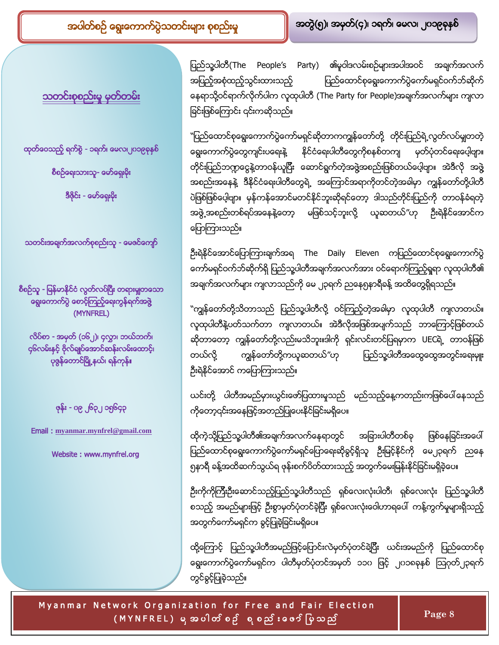<u>သတင်းစုစည်းမှု မှတ်တမ်း</u>

ထုတ်ဝေသည့် ရက်စွဲ - ၁ရက်၊ မေလ၊၂ဂ၁၉ခုနှစ်

စီစဉ်ရေးသားသူ- မော်ရှေးမိုး

ဒီဇိုင်း - မော်ရှေးမိုး

သတင်းအချက်အလက်စုစည်းသူ - မေဇင်ကျော်

စီစဉ်သူ - မြန်မာနိုင်ငံ လွတ်လပ်ပြီး တရားမှုုတသော ရွေးကောက်ပွဲ စောင့်ကြည့်ရေးကွန်ရက်အဖွဲ (MYNFREL)

လိပ်စာ - <mark>အမှတ် (၁၆၂)၊</mark> ၄လွှာ၊ ဘယ်ဘက်၊ ၄၆လမ်းနှင့် ဗိုလ်ချုပ်အောင်ဆန်းလမ်းထောင့်၊ ပုဇွန်တောင်မြို့နယ်၊ ရန်ကုန်၊

ဇုန်း - ၀၉ ၂၆၃၂ ၁၅၆၄၃

Email : **[myanmar.mynfrel@gmail.com](mailto:Myanmar.mynfrel@gmail.com)**

Website : www.mynfrel.org

ပြည်သူ့ပါတီ(The People's Party) ၏မူဝါဒလမ်းစဉ်များအပါအဝင် အချက်အလက် အပြည့်အစုံထည့်သွင်းထားသည့် ပြည်ထောင်စုရွေးကောက်ပွဲကော်မရှင်ဝက်ဘ်ဆိုက် နေရာသို့ဝင်ရာက်လိုက်ပါက လူထုပါတီ (The Party for People)အချက်အလက်များ ကျလာ ခြင်းဖြစ်ကြောင်း ၎င်းကဆိုသည်။

T

``ပြည်ထောင်စုရွေးကောက်ပွဲကော်မရှင်ဆိုတာကကျွန်တော်တို့ တိုင်းပြည်ရဲ့လွတ်လပ်မှုုတတဲ့ ရွေးကောက်ပွဲတွေကျင်းပရေးနဲ့ နိုင်ငံရေးပါတီတွေကိုစနစ်တကျ မှတ်ပုံတင်ရေးပေ့ါဗျာ။ တိုင်းပြည်ဘဣာငွေနဲ့တာဝန်ယူပြီး ဆောင်ရွက်တဲ့အဖွဲ့အစည်းဖြစ်တယ်ပေ့ါဗျာ။ အဲဒီလို အဖွဲ့ အစည်းအနေနဲ့ ဒီနိုင်ငံရေးပါတီတွေရဲ့ အကြောင်အရာကိုတင်တဲ့အခါမှာ ကျွန်တော်တို့ပါတီ ပဲဖြစ်ဖြစ်ပေ့ါဗျာ။ မှန်ကန်အောင်မတင်နိုင်ဘူးဆိုရင်တော့ ဒါသည်တိုင်းပြည်ကို တာဝန်ခံရတဲ့ အဖွဲ့ အစည်းတစ်ရပ်အနေနဲ့တော့ မဖြစ်သင့်ဘူးလို့ ယူဆတယ်"ဟု ဦးရဲနိုင်အောင်က ပြောကြားသည်။

ဦးရဲနိုင်အောင်ပြောကြားချက်အရ The Daily Eleven ကပြည်ထောင်စုရွေးကောက်ပွဲ ကော်မရှင်ဝက်ဘ်ဆိုက်ရှိ ပြည်သူ့ပါတီအချက်အလက်အား ဝင်ရောက်ကြည့်ရှုရာ လူထုပါတီ၏ အချက်အလက်များ ကျလာသည်ကို မေ ၂၃ရက် ညနေ၅နာရီခန့် အထိတွေရှိရသည်။

"ကျွန်တော်တို့သိတာသည် ပြည်သူ့ပါတီလို့ ဝင်ကြည့်တဲ့အခါမှာ လူထုပါတီ ကျလာတယ်။ လူထုပါတီနဲ့ပတ်သက်တာ ကျလာတယ်။ အဲဒီလိုအဖြစ်အပျက်သည် ဘာကြောင့်ဖြစ်တယ် ဆိုတာတော့ ကျွန်တော်တို့လည်းမသိဘူး။ဒါကို ရှင်းလင်းတင်ပြရမှာက UECရဲ့ တာဝန်ဖြစ် တယ်လို့ ကျွန်တော်တို့ကယူဆတယ်"ဟု ပြည်သူ့ပါတီအထွေထွေအတွင်းရေးမှူး ဦးရဲနိုင်အောင် ကပြောကြားသည်။

ယင်းတို့ ပါတီအမည်မှားယွင်းဖော်ပြထားမှုသည် မည်သည့်နေ့ကတည်းကဖြစ်ပေါ်နေသည် ကိုတော့၎င်းအနေဖြင့်အတည်ပြုပေးနိုင်ခြင်းမရှိပေ။

ထိုကဲ့သို့ပြည်သူ့ပါတီ၏အချက်အလက်နေရာတွင် အခြားပါတီတစ်ခု ဖြစ်နေခြင်းအပေါ် ပြည်ထောင်စုရွေးကောက်ပွဲကော်မရှင်ပြောရေးဆိုခွင့်ရှိသူ ဦးမြင့်နိုင်ကို မေ၂၃ရက် ညနေ ၅နာရီ ခန့်အထိဆက်သွယ်ရ ဖုန်းစက်ပိတ်ထားသည့် အတွက်မေးမြန်းနိုင်ခြင်းမရှိခဲ့ပေ။

ဦးကိုကိုကြီးဦးဆောင်သည့်ပြည်သူ့ပါတီသည် ရှစ်လေးလုံးပါတီ၊ ရှစ်လေးလုံး ပြည်သူ့ပါတီ စသည့် အမည်များဖြင့် ဦးစွာမှတ်ပုံတင်ခဲ့ပြီး ရှစ်လေးလုံးဝေါဟာရပေါ် ကန့်ကွက်မှုများရှိသည့် အတွက်ကော်မရှင်က ခွင့်ပြုခဲ့ခြင်းမရှိပေ။

ထို့ကြောင့် ပြည်သူ့ပါတီအမည်ဖြင့်ပြောင်းလဲမှတ်ပုံတင်ခဲ့ပြီး ယင်းအမည်ကို ပြည်ထောင်စု ရွေးကောက်ပွဲကော်မရှင်က ပါတီမှတ်ပုံတင်အမှတ် ၁၁၀ ဖြင့် ၂၀၁၈ခုနှစ် ဩဂုတ်၂၃ရက် တွင်ခွင့်ပြုခဲ့သည်။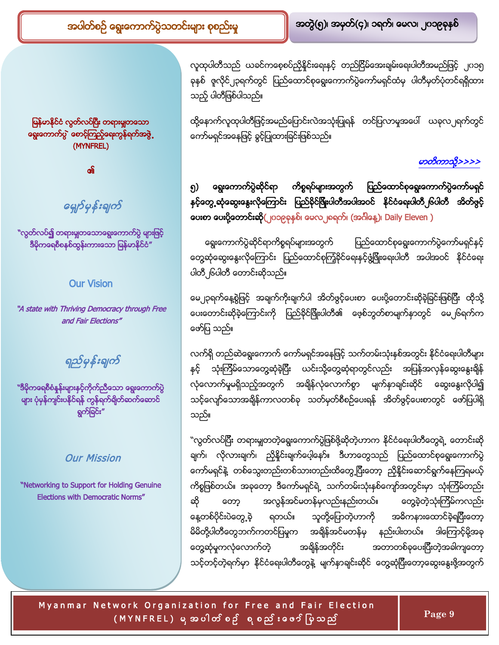မြန်မာနိုင်ငံ လွတ်လပ်ပြီး တရားမှူတသော ရွေးကောက်ပွဲ တေင့်ကြည့်ရေးကွန်ရက်အဖွဲ့ (MYNFREL)

၏

<span id="page-8-0"></span>G

"လွတ်လပ်<mark>၍</mark> တရားမျှတသောရွေးကောက်ပွဲ များဖြင့် ဒီမိုကရေစီစနစ်ထွန်းကားသော မြန်မာနိုင်ငံ"

### Our Vision

"A state with Thriving Democracy through Free and Fair Elections"

ရည်မှန်းချက်

"ဒီမိုကရေစီစံနှန်းများနှင့်ကိုက်ညီသော ရွေးကောက်ပွဲ <mark>များ ပုံမှန်ကျင်းပနိုင်ရန် ကွန်ရက်ရိ</mark>ုတ်ဆက်ဆောင် ရွက်ခြင်း"

### Our Mission

"Networking to Support for Holding Genuine Elections with Democratic Norms"

လူထုပါတီသည် ယခင်ကစေ့စပ်ညှိနှိုင်းရေးနှင့် တည်ငြိမ်အေးချမ်းရေးပါတီအမည်ဖြင့် ၂၀၁၅ ခုနှစ် ဇူလိုင်၂၃ရက်တွင် ပြည်ထောင်စုရွေးကောက်ပွဲကော်မရှင်ထံမှ ပါတီမှတ်ပုံတင်ရရှိထား သည့် ပါတီဖြစ်ပါသည်။

T

ထို့နောက်လူထုပါတီဖြင့်အမည်ပြောင်းလဲအသုံးပြုရန် တင်ပြလာမှုအပေါ် ယခုလ၂ရက်တွင် ကော်မရှင်အနေဖြင့် ခွင့်ပြုထားခြင်းဖြစ်သည်။

### မာတိကာသို့>>>>

### ကိစ္စရပ်များအတွက် ပြည်ထောင်စုရွေးကောက်ပွဲကော်မရှင် ရွေးကောက်ပွဲဆိုင်ရာ ၅ နှင့်တွေ့ ဆုံဆွေးနွေးလိုကြောင်း ပြည်နိုင်မြိုးပါတီအပါအဝင် နိုင်ငံရေးပါတီ၂၆ပါတီ အိတ်ဗွင့် <mark>ပေးစာ ပေးပို့တောင်းဆို(</mark>၂၀၁၉ခုနှစ်၊ မေလ၂ရေက်၊ (အင်္ဂါနေ့)၊ Daily Eleven )

ရွေးကောက်ပွဲဆိုင်ရာကိစ္စရပ်များအတွက် ပြည်ထောင်စုရွေးကောက်ပွဲကော်မရှင်နှင့် တွေ့ဆုံဆွေးနွေးလိုကြောင်း ပြည်ထောင်စုကြံ့ခိုင်ရေးနှင့်ဖွံ့ဖြိုးရေးပါတီ အပါအဝင် နိုင်ငံရေး ပါတီ၂၆ပါတီ တောင်းဆိုသည်။

မေ၂၃ရက်နေ့စွဲဖြင့် အချက်ကိုးချက်ပါ အိတ်ဖွင့်ပေးစာ ပေးပို့တောင်းဆိုခဲ့ခြင်းဖြစ်ပြီး ထိုသို့ ပေးတောင်းဆိုခဲ့ကြောင်းကို ပြည်ခိုင်ဖြိုးပါတီ၏ ဖေ့စ်ဘွတ်စာမျက်နာတွင် မေ၂၆ရက်က ဖော်ပြ သည်။

လက်ရှိ တည်ဆဲရွေးကောက် ကော်မရှင်အနေဖြင့် သက်တမ်းသုံးနှစ်အတွင်း နိုင်ငံရေးပါတီများ နှင့် သုံးကြိမ်သောတွေ့ဆုံခဲ့ပြီး ယင်းသို့တွေ့ဆုံရာတွင်လည်း အပြန်အလှန်ဆွေးနွေးချိန် လုံလောက်မှုမရှိသည့်အတွက် အရိုန်လုံလောက်စွာ မျက်နာချင်းဆိုင် ဆွေးနွေးလိုပါ၍ သင့်လျော်သောအချိန်ကာလတစ်ခု သတ်မှတ်စီစဉ်ပေးရန် အိတ်ဖွင့်ပေးစာတွင် ဖော်ပြပါရှိ သည်။

``လွတ်လပ်ပြီး တရားမျှတတဲ့ရွေးကောက်ပွဲဖြစ်ဖို့ဆိုတဲ့ဟာက နိုင်ငံရေးပါတီတွေရဲ့ တောင်းဆို ချက်၊ လိုလားချက်၊ ညှိနှိုင်းချက်ပေ့ါနော်။ ဒီဟာတွေသည် ပြည်ထောင်စုရွေးကောက်ပွဲ ကော်မရှင်နဲ့ တစ်သွေးတည်းတစ်သားတည်းထိတွေ့ပြီးတော့ ညှိနှိုင်းဆောင်ရွက်နေကြရမယ့် ကိစ္စဖြစ်တယ်။ အခုတော့ ဒီကော်မရှင်ရဲ့ သက်တမ်းသုံးနှစ်ကျော်အတွင်းမှာ သုံးကြိမ်တည်း ဆို တော့ အလွန်အင်မတန်မှလည်းနည်းတယ်။ တွေ့ခဲ့တဲ့သုံးကြိမ်ကလည်း နေ့တစ်ပိုင်းပဲတွေ့ခဲ့ ရတယ်။ သူတို့ပြောတဲ့ဟာကို အဓိကနားထောင်ခဲ့ရပြီးတော့ မိမိတို့ပါတီတွေဘက်ကတင်ပြမှုက အရိန်အင်မတန်မှ နည်းပါးတယ်။ ဒါကြောင့်မို့အခု အချိန်အတိုင်း အတာတစ်ခုပေးပြီးတဲ့အခါကျတော့ တွေ့ဆုံမှုကလုံလောက်တဲ့ သင့်တင့်တဲ့ရက်မှာ နိုင်ငံရေးပါတီတွေနဲ့ မျက်နှာချင်းဆိုင် တွေ့ဆုံပြီးတော့ဆွေးနွေးဖို့အတွက်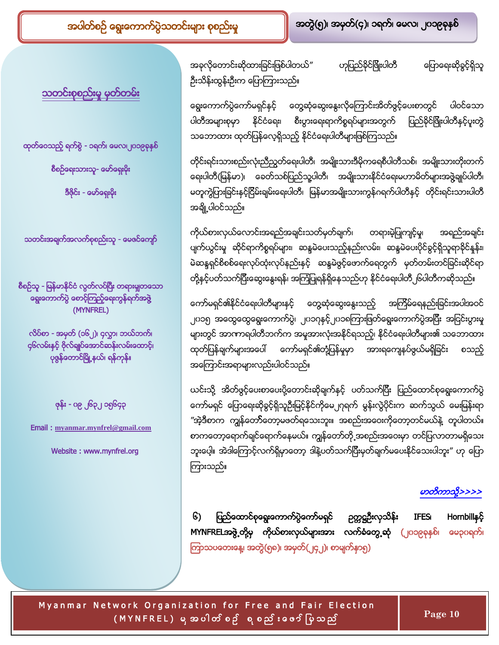<u>သတင်းစုစည်းမှု မှတ်တမ်း</u>

ထုတ်ဝေသည့် ရက်စွဲ - ၁ရက်၊ မေလ၊၂ဂ၁၉ခုနှစ် စီစဉ်ရေးသားသူ- မော်ရှေ<mark>းမိုး</mark>

ဒီဇိုင်း - မော်ရှေးမိုး

သတင်းအချက်အလက်စုစည်းသူ - <mark>ဖေ</mark>ဇင်ကျော်

စီစဉ်သူ - မြန်မာနိုင်ငံ လွတ်လပ်ပြီး တရားမှုုတသော ရွေးကောက်ပွဲ စောင့်ကြည့်ရေးကွန်ရက်အဖွဲ (MYNFREL)

လိပ်စာ - <mark>အမှတ် (၁၆၂)၊</mark> ၄လွှာ၊ ဘယ်ဘက်၊ ၄၆လမ်းနှင့် ဗိုလ်ချုပ်အောင်ဆန်းလမ်းထောင့်၊ ပုဇွန်တောင်မြို့နယ်၊ ရန်ကုန်။

<mark>ဖုန်း -</mark> ၀၉ ၂၆၃၂ ၁၅၆၄၃

Email : **[myanmar.mynfrel@gmail.com](mailto:Myanmar.mynfrel@gmail.com)**

<span id="page-9-0"></span>Website : www.mynfrel.org

အခုလိုတောင်းဆိုထားခြင်းဖြစ်ပါတယ်" ဟုပြည်ခိုင်ဖြိုးပါတီ ပြောရေးဆိုခွင့်ရှိသူ ဦးသိန်းထွန်းဦးက ပြောကြားသည်။

T

ရွေးကောက်ပွဲကော်မရှင်နှင့် တွေ့ဆုံဆွေးနွေးလိုကြောင်းအိတ်ဖွင့်ပေးစာတွင် ပါဝင်သော ပါတီအများစုမှာ နိုင်ငံရေး၊ စီးပွားရေးရာကိစ္စရပ်များအတွက် ပြည်ခိုင်ဖြိုးပါတီနှင့်ပူးတွဲ သဘောထား ထုတ်ပြန်လေ့ရှိသည့် နိုင်ငံရေးပါတီများဖြစ်ကြသည်။

တိုင်းရင်းသားစည်းလုံးညီညွတ်ရေးပါတီ၊ အမျိုးသားဒီမိုကရေစီပါတီသစ်၊ အမျိုးသားတိုးတက် ရေးပါတီ(မြန်မာ)၊ ခေတ်သစ်ပြည်သူ့ပါတီ၊ အမျိုးသားနိုင်ငံရေးမဟာမိတ်များအဖွဲ့ချုပ်ပါတီ၊ မတူကွဲပြားခြင်းနှင့်ငြိမ်းချမ်းရေးပါတီ၊ မြန်မာအမျိုးသားကွန်ဂရက်ပါတီနှင့် တိုင်းရင်းသားပါတီ အချို့ပါဝင်သည်။

ကိုယ်စားလှယ်လောင်းအရည်အချင်းသတ်မှတ်ချက်၊ တရားမဲ့ပြုကျင့်မှု၊ အရည်အချင်း ပျက်ယွင်းမှု ဆိုင်ရာကိစ္စရပ်များ၊ ဆန္ဒမဲပေးသည့်နည်းလမ်း၊ ဆန္ဒမဲပေးပိုင်ခွင့်ရှိသူရာခိုင်နှုန်း၊ မဲဆန္ဒရှင်စိစစ်ရေးလုပ်ထုံးလုပ်နည်းနှင့် ဆန္ဒမဲဖွင့်ဖောက်ရေတွက် မှတ်တမ်းတင်ခြင်းဆိုင်ရာ တို့နှင့်ပတ်သက်ပြီးဆွေးနွေးရန်၊ အကြံပြုရန်ရှိနေသည်ဟု နိုင်ငံရေးပါတီ၂၆ပါတီကဆိုသည်။

ကော်မရှင်၏နိုင်ငံရေးပါတီများနှင့် တွေ့ဆုံဆွေးနွေးသည့် အကြိမ်ရေနည်းခြင်းအပါအဝင် ၂ဂ၁၅ အထွေထွေရွေးကောက်ပွဲ၊ ၂ဂ၁ဂုနှင့်၂ဂ<mark>၁ရကြားဖြတ်ရွေးကောက်ပွဲအပြီး အငြင်းပွား</mark>မှု များတွင် အာကာရပါတီဘက်က အမှုအားလုံးအနိုင်ရသည့်၊ နိုင်ငံရေးပါတီများ၏ သဘောထား ထုတ်ပြန်ချက်များအပေါ် ကော်မရှင်၏တုံ့ပြန်မှုမှာ အားရကျေနပ်ဖွယ်မရှိခြင်း စသည့် အကြောင်းအရာများလည်းပါဝင်သည်။

ယင်းသို့ အိတ်ဖွင့်ပေးစာပေးပို့တောင်းဆိုချက်နှင့် ပတ်သက်ပြီး ပြည်ထောင်စုရွေးကောက်ပွဲ ကော်မရှင် ပြောရေးဆိုခွင့်ရှိသူဉီးမြင့်နိုင်ကိုမေ၂ဂုရက် မွန်းလွဲပိုင်းက ဆက်သွယ် မေးမြန်းရာ ″အဲ့ဒီစာက ကျွန်တော်ိတော့မဖတ်ရသေးဘူး။ အစည်းအဝေးကိုတော့တင်မယ်နဲ့ တူပါတယ်။ စာကတော့ရောက်ချင်ရောက်နေမယ်။ ကျွန်တော်တို့အစည်းအဝေးမှာ တင်ပြလာတာမရှိသေး ဘူးပေ့ါ။ အဲဒါကြောင့်လက်ရှိမှာတော့ ဒါနဲ့ပတ်သက်ပြီးမှတ်ချက်မပေးနိုင်သေးပါဘူး" ဟု ပြော ကြားသည်။

## မာတိကာသို့>>>>

၆) ပြည်ထောင်စုရွေးကောက်ပွဲကော်မရှင် ဉတ္တဋ္ဌဦးလှသိန်း IFES၊ Hornbillနှင့် MYNFRELအဖွဲ့တို့မှ ကိုယ်စားလှယ်များအား လက်ခံတွေ့ဆုံ (၂၀၁၉ခုနှစ်၊ မေ၃၀ရက်၊ ကြာသပတေးနေ့၊ အတွဲ(၅၈)၊ အမှတ်(၂၄၂)၊ စာမျက်နာ၅)